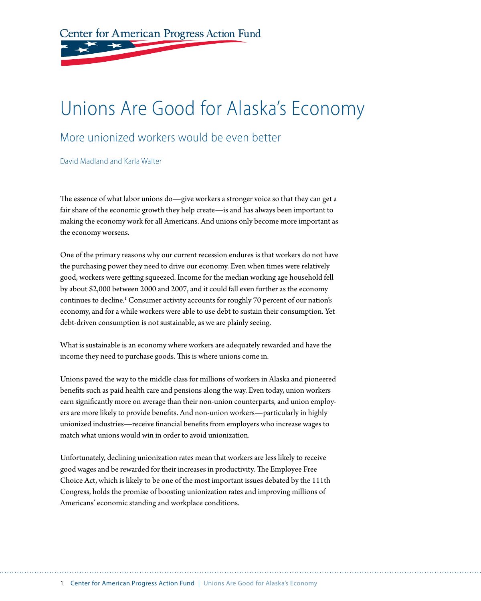Center for American Progress Action Fund

# Unions Are Good for Alaska's Economy

### More unionized workers would be even better

David Madland and Karla Walter

The essence of what labor unions do—give workers a stronger voice so that they can get a fair share of the economic growth they help create—is and has always been important to making the economy work for all Americans. And unions only become more important as the economy worsens.

One of the primary reasons why our current recession endures is that workers do not have the purchasing power they need to drive our economy. Even when times were relatively good, workers were getting squeezed. Income for the median working age household fell by about \$2,000 between 2000 and 2007, and it could fall even further as the economy continues to decline.<sup>1</sup> Consumer activity accounts for roughly 70 percent of our nation's economy, and for a while workers were able to use debt to sustain their consumption. Yet debt-driven consumption is not sustainable, as we are plainly seeing.

What is sustainable is an economy where workers are adequately rewarded and have the income they need to purchase goods. This is where unions come in.

Unions paved the way to the middle class for millions of workers in Alaska and pioneered benefits such as paid health care and pensions along the way. Even today, union workers earn significantly more on average than their non-union counterparts, and union employers are more likely to provide benefits. And non-union workers—particularly in highly unionized industries—receive financial benefits from employers who increase wages to match what unions would win in order to avoid unionization.

Unfortunately, declining unionization rates mean that workers are less likely to receive good wages and be rewarded for their increases in productivity. The Employee Free Choice Act, which is likely to be one of the most important issues debated by the 111th Congress, holds the promise of boosting unionization rates and improving millions of Americans' economic standing and workplace conditions.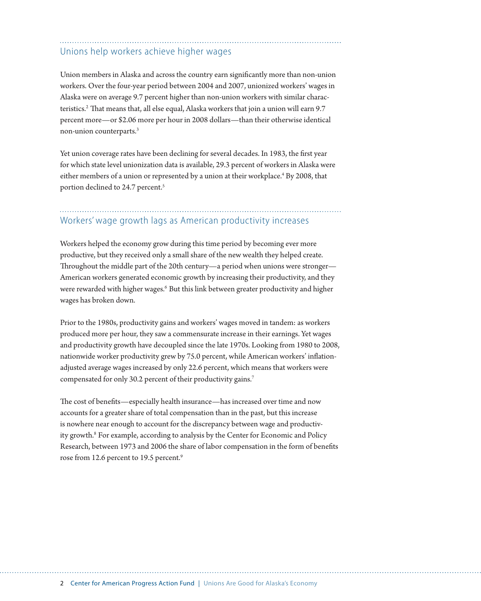### Unions help workers achieve higher wages

Union members in Alaska and across the country earn significantly more than non-union workers. Over the four-year period between 2004 and 2007, unionized workers' wages in Alaska were on average 9.7 percent higher than non-union workers with similar characteristics.<sup>2</sup> That means that, all else equal, Alaska workers that join a union will earn 9.7 percent more—or \$2.06 more per hour in 2008 dollars—than their otherwise identical non-union counterparts.3

Yet union coverage rates have been declining for several decades. In 1983, the first year for which state level unionization data is available, 29.3 percent of workers in Alaska were either members of a union or represented by a union at their workplace.<sup>4</sup> By 2008, that portion declined to 24.7 percent.<sup>5</sup>

## Workers' wage growth lags as American productivity increases

Workers helped the economy grow during this time period by becoming ever more productive, but they received only a small share of the new wealth they helped create. Throughout the middle part of the 20th century—a period when unions were stronger— American workers generated economic growth by increasing their productivity, and they were rewarded with higher wages.<sup>6</sup> But this link between greater productivity and higher wages has broken down.

Prior to the 1980s, productivity gains and workers' wages moved in tandem: as workers produced more per hour, they saw a commensurate increase in their earnings. Yet wages and productivity growth have decoupled since the late 1970s. Looking from 1980 to 2008, nationwide worker productivity grew by 75.0 percent, while American workers' inflationadjusted average wages increased by only 22.6 percent, which means that workers were compensated for only 30.2 percent of their productivity gains.<sup>7</sup>

The cost of benefits—especially health insurance—has increased over time and now accounts for a greater share of total compensation than in the past, but this increase is nowhere near enough to account for the discrepancy between wage and productivity growth.<sup>8</sup> For example, according to analysis by the Center for Economic and Policy Research, between 1973 and 2006 the share of labor compensation in the form of benefits rose from 12.6 percent to 19.5 percent.<sup>9</sup>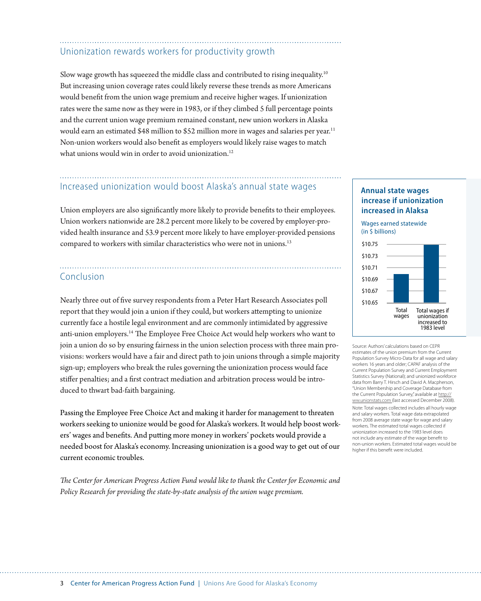## Unionization rewards workers for productivity growth

Slow wage growth has squeezed the middle class and contributed to rising inequality.10 But increasing union coverage rates could likely reverse these trends as more Americans would benefit from the union wage premium and receive higher wages. If unionization rates were the same now as they were in 1983, or if they climbed 5 full percentage points and the current union wage premium remained constant, new union workers in Alaska would earn an estimated \$48 million to \$52 million more in wages and salaries per year.<sup>11</sup> Non-union workers would also benefit as employers would likely raise wages to match what unions would win in order to avoid unionization.<sup>12</sup>

### Increased unionization would boost Alaska's annual state wages

Union employers are also significantly more likely to provide benefits to their employees. Union workers nationwide are 28.2 percent more likely to be covered by employer-provided health insurance and 53.9 percent more likely to have employer-provided pensions compared to workers with similar characteristics who were not in unions.<sup>13</sup>

#### Conclusion

Nearly three out of five survey respondents from a Peter Hart Research Associates poll report that they would join a union if they could, but workers attempting to unionize currently face a hostile legal environment and are commonly intimidated by aggressive anti-union employers.14 The Employee Free Choice Act would help workers who want to join a union do so by ensuring fairness in the union selection process with three main provisions: workers would have a fair and direct path to join unions through a simple majority sign-up; employers who break the rules governing the unionization process would face stiffer penalties; and a first contract mediation and arbitration process would be introduced to thwart bad-faith bargaining.

Passing the Employee Free Choice Act and making it harder for management to threaten workers seeking to unionize would be good for Alaska's workers. It would help boost workers' wages and benefits. And putting more money in workers' pockets would provide a needed boost for Alaska's economy. Increasing unionization is a good way to get out of our current economic troubles.

*The Center for American Progress Action Fund would like to thank the Center for Economic and Policy Research for providing the state-by-state analysis of the union wage premium.* 

#### **Annual state wages increase if unionization increased in Alaksa**

Wages earned statewide (in \$ billions)



Source: Authors' calculations based on CEPR estimates of the union premium from the Current Population Survey Micro-Data for all wage and salary workers 16 years and older; CAPAF analysis of the Current Population Survey and Current Employment Statistics Survey (National); and unionized workforce data from Barry T. Hirsch and David A. Macpherson, "Union Membership and Coverage Database from the Current Population Survey," available at http:// ww.unionstats.com (last accessed December 2008). Note: Total wages collected includes all hourly wage and salary workers. Total wage data extrapolated from 2008 average state wage for wage and salary

workers. The estimated total wages collected if unionization increased to the 1983 level does not include any estimate of the wage benefit to non-union workers. Estimated total wages would be higher if this benefit were included.